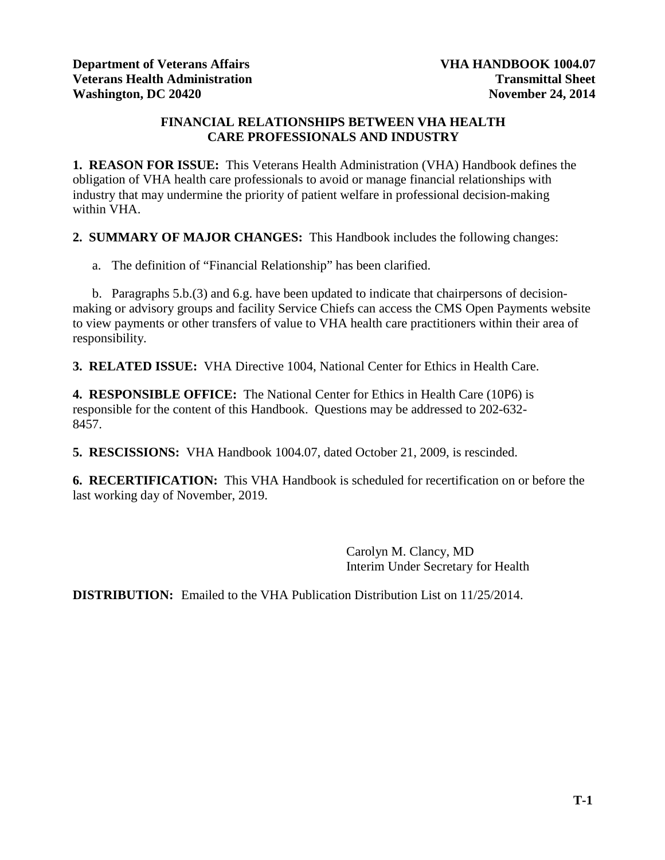# **FINANCIAL RELATIONSHIPS BETWEEN VHA HEALTH CARE PROFESSIONALS AND INDUSTRY**

**1. REASON FOR ISSUE:** This Veterans Health Administration (VHA) Handbook defines the obligation of VHA health care professionals to avoid or manage financial relationships with industry that may undermine the priority of patient welfare in professional decision-making within VHA.

**2. SUMMARY OF MAJOR CHANGES:** This Handbook includes the following changes:

a. The definition of "Financial Relationship" has been clarified.

b. Paragraphs 5.b.(3) and 6.g. have been updated to indicate that chairpersons of decisionmaking or advisory groups and facility Service Chiefs can access the CMS Open Payments website to view payments or other transfers of value to VHA health care practitioners within their area of responsibility.

**3. RELATED ISSUE:** VHA Directive 1004, National Center for Ethics in Health Care.

**4. RESPONSIBLE OFFICE:** The National Center for Ethics in Health Care (10P6) is responsible for the content of this Handbook. Questions may be addressed to 202-632- 8457.

**5. RESCISSIONS:** VHA Handbook 1004.07, dated October 21, 2009, is rescinded.

**6. RECERTIFICATION:** This VHA Handbook is scheduled for recertification on or before the last working day of November, 2019.

> Carolyn M. Clancy, MD Interim Under Secretary for Health

**DISTRIBUTION:** Emailed to the VHA Publication Distribution List on 11/25/2014.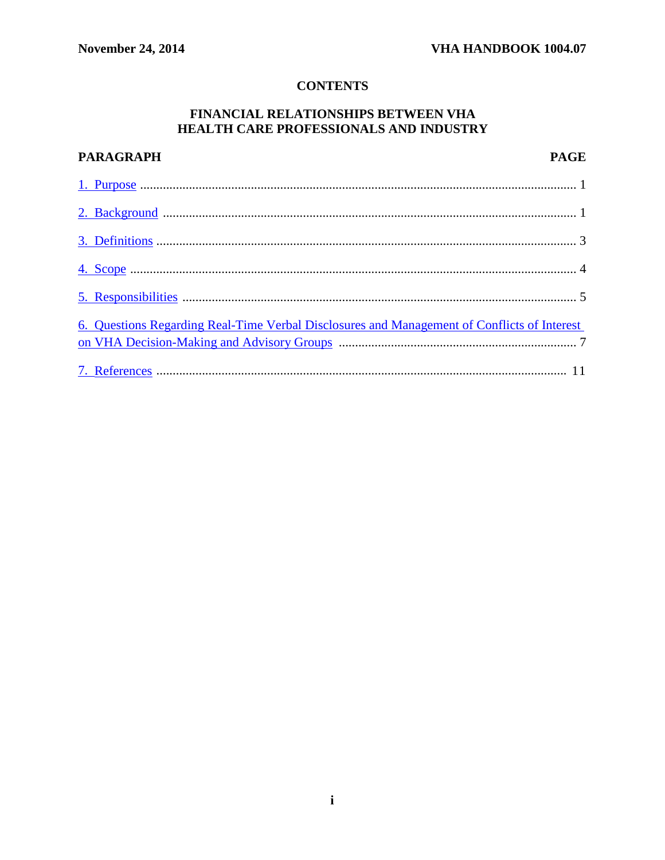# **CONTENTS**

# FINANCIAL RELATIONSHIPS BETWEEN VHA HEALTH CARE PROFESSIONALS AND INDUSTRY

| <b>PARAGRAPH</b>                                                                            | <b>PAGE</b> |
|---------------------------------------------------------------------------------------------|-------------|
|                                                                                             |             |
|                                                                                             |             |
|                                                                                             |             |
|                                                                                             |             |
|                                                                                             |             |
| 6. Questions Regarding Real-Time Verbal Disclosures and Management of Conflicts of Interest |             |
|                                                                                             |             |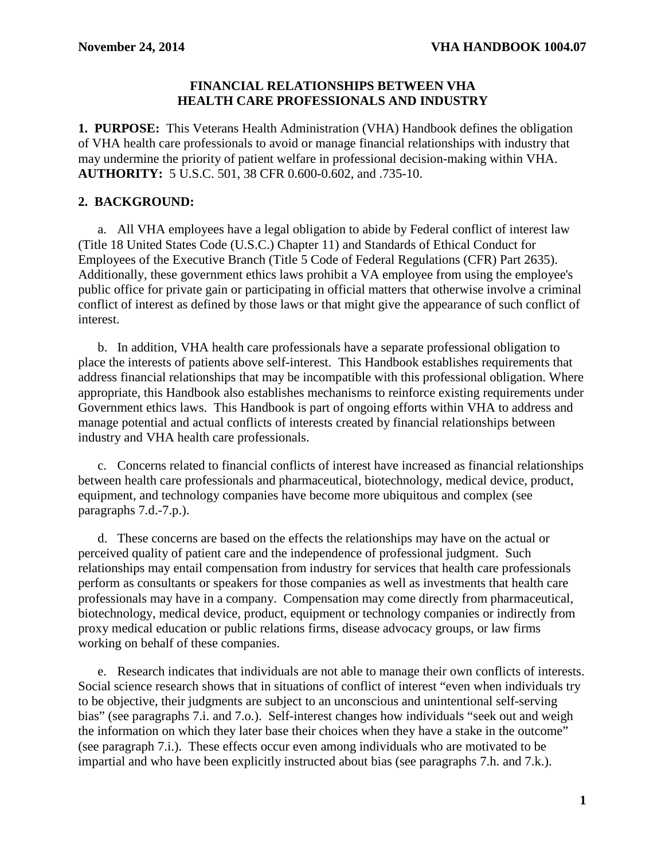#### **FINANCIAL RELATIONSHIPS BETWEEN VHA HEALTH CARE PROFESSIONALS AND INDUSTRY**

<span id="page-2-0"></span>**1. PURPOSE:** This Veterans Health Administration (VHA) Handbook defines the obligation of VHA health care professionals to avoid or manage financial relationships with industry that may undermine the priority of patient welfare in professional decision-making within VHA. **AUTHORITY:** 5 U.S.C. 501, 38 CFR 0.600-0.602, and .735-10.

# <span id="page-2-1"></span>**2. BACKGROUND:**

a. All VHA employees have a legal obligation to abide by Federal conflict of interest law (Title 18 United States Code (U.S.C.) Chapter 11) and Standards of Ethical Conduct for Employees of the Executive Branch (Title 5 Code of Federal Regulations (CFR) Part 2635). Additionally, these government ethics laws prohibit a VA employee from using the employee's public office for private gain or participating in official matters that otherwise involve a criminal conflict of interest as defined by those laws or that might give the appearance of such conflict of interest.

b. In addition, VHA health care professionals have a separate professional obligation to place the interests of patients above self-interest. This Handbook establishes requirements that address financial relationships that may be incompatible with this professional obligation. Where appropriate, this Handbook also establishes mechanisms to reinforce existing requirements under Government ethics laws. This Handbook is part of ongoing efforts within VHA to address and manage potential and actual conflicts of interests created by financial relationships between industry and VHA health care professionals.

c. Concerns related to financial conflicts of interest have increased as financial relationships between health care professionals and pharmaceutical, biotechnology, medical device, product, equipment, and technology companies have become more ubiquitous and complex (see paragraphs 7.d.-7.p.).

d. These concerns are based on the effects the relationships may have on the actual or perceived quality of patient care and the independence of professional judgment. Such relationships may entail compensation from industry for services that health care professionals perform as consultants or speakers for those companies as well as investments that health care professionals may have in a company. Compensation may come directly from pharmaceutical, biotechnology, medical device, product, equipment or technology companies or indirectly from proxy medical education or public relations firms, disease advocacy groups, or law firms working on behalf of these companies.

e. Research indicates that individuals are not able to manage their own conflicts of interests. Social science research shows that in situations of conflict of interest "even when individuals try to be objective, their judgments are subject to an unconscious and unintentional self-serving bias" (see paragraphs 7.i. and 7.o.). Self-interest changes how individuals "seek out and weigh the information on which they later base their choices when they have a stake in the outcome" (see paragraph 7.i.). These effects occur even among individuals who are motivated to be impartial and who have been explicitly instructed about bias (see paragraphs 7.h. and 7.k.).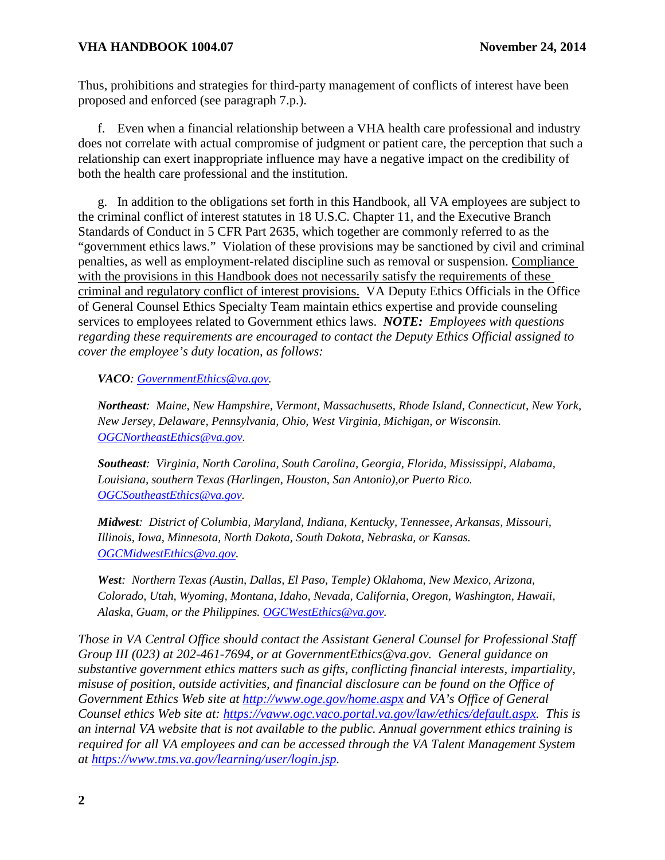#### **VHA HANDBOOK 1004.07 November 24, 2014**

Thus, prohibitions and strategies for third-party management of conflicts of interest have been proposed and enforced (see paragraph 7.p.).

f. Even when a financial relationship between a VHA health care professional and industry does not correlate with actual compromise of judgment or patient care, the perception that such a relationship can exert inappropriate influence may have a negative impact on the credibility of both the health care professional and the institution.

g. In addition to the obligations set forth in this Handbook, all VA employees are subject to the criminal conflict of interest statutes in 18 U.S.C. Chapter 11, and the Executive Branch Standards of Conduct in 5 CFR Part 2635, which together are commonly referred to as the "government ethics laws." Violation of these provisions may be sanctioned by civil and criminal penalties, as well as employment-related discipline such as removal or suspension. Compliance with the provisions in this Handbook does not necessarily satisfy the requirements of these criminal and regulatory conflict of interest provisions. VA Deputy Ethics Officials in the Office of General Counsel Ethics Specialty Team maintain ethics expertise and provide counseling services to employees related to Government ethics laws. *NOTE: Employees with questions regarding these requirements are encouraged to contact the Deputy Ethics Official assigned to cover the employee's duty location, as follows:*

*VACO: [GovernmentEthics@va.gov.](mailto:GovernmentEthics@va.gov)* 

*Northeast: Maine, New Hampshire, Vermont, Massachusetts, Rhode Island, Connecticut, New York, New Jersey, Delaware, Pennsylvania, Ohio, West Virginia, Michigan, or Wisconsin. [OGCNortheastEthics@va.gov.](mailto:OGCNortheastEthics@va.gov)*

*Southeast: Virginia, North Carolina, South Carolina, Georgia, Florida, Mississippi, Alabama, Louisiana, southern Texas (Harlingen, Houston, San Antonio),or Puerto Rico. [OGCSoutheastEthics@va.gov.](mailto:OGCSoutheastEthics@va.gov)*

*Midwest: District of Columbia, Maryland, Indiana, Kentucky, Tennessee, Arkansas, Missouri, Illinois, Iowa, Minnesota, North Dakota, South Dakota, Nebraska, or Kansas. [OGCMidwestEthics@va.gov.](mailto:OGCMidwestEthics@va.gov)*

*West: Northern Texas (Austin, Dallas, El Paso, Temple) Oklahoma, New Mexico, Arizona, Colorado, Utah, Wyoming, Montana, Idaho, Nevada, California, Oregon, Washington, Hawaii, Alaska, Guam, or the Philippines. [OGCWestEthics@va.gov.](mailto:OGCWestEthics@va.gov)*

*Those in VA Central Office should contact the Assistant General Counsel for Professional Staff Group III (023) at 202-461-7694, or at GovernmentEthics@va.gov. General guidance on substantive government ethics matters such as gifts, conflicting financial interests, impartiality, misuse of position, outside activities, and financial disclosure can be found on the Office of Government Ethics Web site at<http://www.oge.gov/home.aspx> and VA's Office of General Counsel ethics Web site at: [https://vaww.ogc.vaco.portal.va.gov/law/ethics/default.aspx.](https://vaww.ogc.vaco.portal.va.gov/law/ethics/default.aspx) This is an internal VA website that is not available to the public. Annual government ethics training is required for all VA employees and can be accessed through the VA Talent Management System at [https://www.tms.va.gov/learning/user/login.jsp.](https://www.tms.va.gov/learning/user/login.jsp)*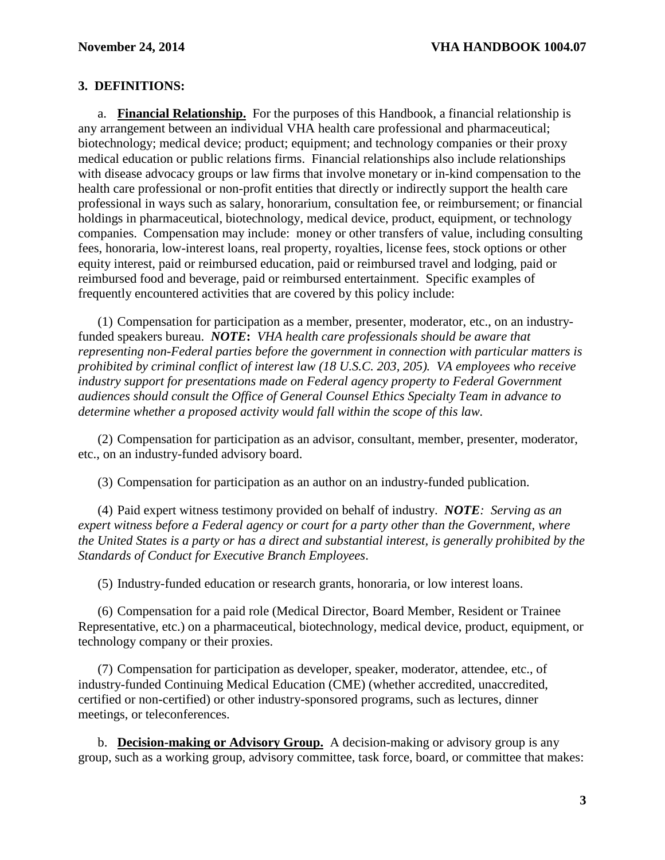#### <span id="page-4-0"></span>**3. DEFINITIONS:**

a. **Financial Relationship.** For the purposes of this Handbook, a financial relationship is any arrangement between an individual VHA health care professional and pharmaceutical; biotechnology; medical device; product; equipment; and technology companies or their proxy medical education or public relations firms. Financial relationships also include relationships with disease advocacy groups or law firms that involve monetary or in-kind compensation to the health care professional or non-profit entities that directly or indirectly support the health care professional in ways such as salary, honorarium, consultation fee, or reimbursement; or financial holdings in pharmaceutical, biotechnology, medical device, product, equipment, or technology companies. Compensation may include: money or other transfers of value, including consulting fees, honoraria, low-interest loans, real property, royalties, license fees, stock options or other equity interest, paid or reimbursed education, paid or reimbursed travel and lodging, paid or reimbursed food and beverage, paid or reimbursed entertainment. Specific examples of frequently encountered activities that are covered by this policy include:

(1) Compensation for participation as a member, presenter, moderator, etc., on an industryfunded speakers bureau. *NOTE***:** *VHA health care professionals should be aware that representing non-Federal parties before the government in connection with particular matters is prohibited by criminal conflict of interest law (18 U.S.C. 203, 205). VA employees who receive industry support for presentations made on Federal agency property to Federal Government audiences should consult the Office of General Counsel Ethics Specialty Team in advance to determine whether a proposed activity would fall within the scope of this law.*

(2) Compensation for participation as an advisor, consultant, member, presenter, moderator, etc., on an industry-funded advisory board.

(3) Compensation for participation as an author on an industry-funded publication.

(4) Paid expert witness testimony provided on behalf of industry. *NOTE: Serving as an expert witness before a Federal agency or court for a party other than the Government, where the United States is a party or has a direct and substantial interest, is generally prohibited by the Standards of Conduct for Executive Branch Employees*.

(5) Industry-funded education or research grants, honoraria, or low interest loans.

(6) Compensation for a paid role (Medical Director, Board Member, Resident or Trainee Representative, etc.) on a pharmaceutical, biotechnology, medical device, product, equipment, or technology company or their proxies.

(7) Compensation for participation as developer, speaker, moderator, attendee, etc., of industry-funded Continuing Medical Education (CME) (whether accredited, unaccredited, certified or non-certified) or other industry-sponsored programs, such as lectures, dinner meetings, or teleconferences.

b. **Decision-making or Advisory Group.** A decision-making or advisory group is any group, such as a working group, advisory committee, task force, board, or committee that makes: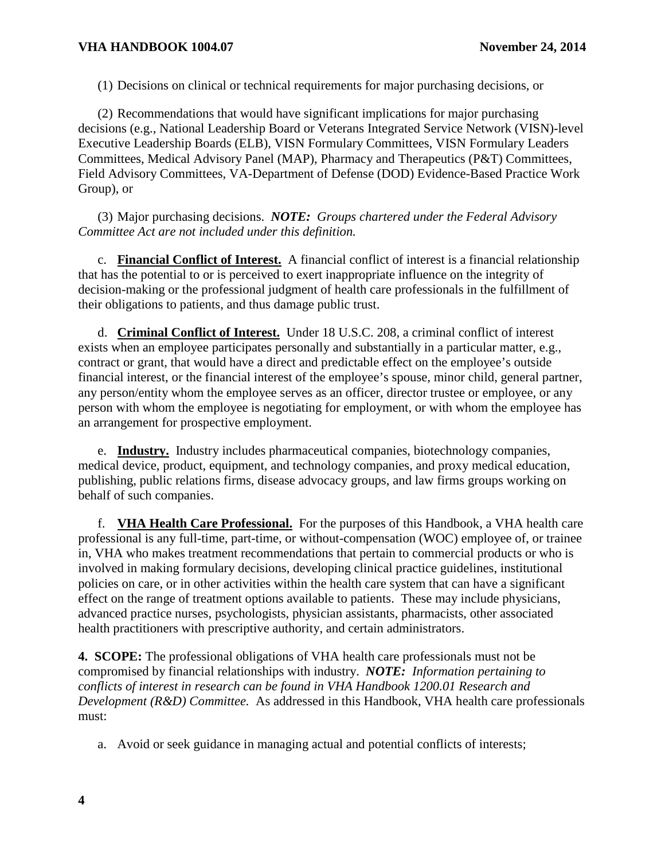(1) Decisions on clinical or technical requirements for major purchasing decisions, or

(2) Recommendations that would have significant implications for major purchasing decisions (e.g., National Leadership Board or Veterans Integrated Service Network (VISN)-level Executive Leadership Boards (ELB), VISN Formulary Committees, VISN Formulary Leaders Committees, Medical Advisory Panel (MAP), Pharmacy and Therapeutics (P&T) Committees, Field Advisory Committees, VA-Department of Defense (DOD) Evidence-Based Practice Work Group), or

(3) Major purchasing decisions. *NOTE: Groups chartered under the Federal Advisory Committee Act are not included under this definition.*

c. **Financial Conflict of Interest.** A financial conflict of interest is a financial relationship that has the potential to or is perceived to exert inappropriate influence on the integrity of decision-making or the professional judgment of health care professionals in the fulfillment of their obligations to patients, and thus damage public trust.

d. **Criminal Conflict of Interest.** Under 18 U.S.C. 208, a criminal conflict of interest exists when an employee participates personally and substantially in a particular matter, e.g., contract or grant, that would have a direct and predictable effect on the employee's outside financial interest, or the financial interest of the employee's spouse, minor child, general partner, any person/entity whom the employee serves as an officer, director trustee or employee, or any person with whom the employee is negotiating for employment, or with whom the employee has an arrangement for prospective employment.

e. **Industry.** Industry includes pharmaceutical companies, biotechnology companies, medical device, product, equipment, and technology companies, and proxy medical education, publishing, public relations firms, disease advocacy groups, and law firms groups working on behalf of such companies.

f. **VHA Health Care Professional.** For the purposes of this Handbook, a VHA health care professional is any full-time, part-time, or without-compensation (WOC) employee of, or trainee in, VHA who makes treatment recommendations that pertain to commercial products or who is involved in making formulary decisions, developing clinical practice guidelines, institutional policies on care, or in other activities within the health care system that can have a significant effect on the range of treatment options available to patients. These may include physicians, advanced practice nurses, psychologists, physician assistants, pharmacists, other associated health practitioners with prescriptive authority, and certain administrators.

<span id="page-5-0"></span>**4. SCOPE:** The professional obligations of VHA health care professionals must not be compromised by financial relationships with industry. *NOTE: Information pertaining to conflicts of interest in research can be found in VHA Handbook 1200.01 Research and Development (R&D) Committee.* As addressed in this Handbook, VHA health care professionals must:

a. Avoid or seek guidance in managing actual and potential conflicts of interests;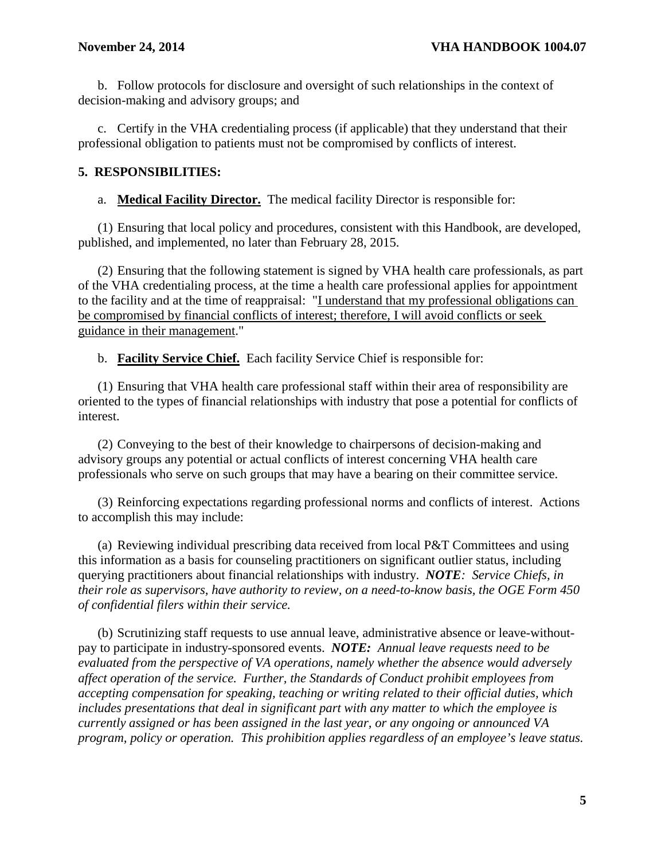b. Follow protocols for disclosure and oversight of such relationships in the context of decision-making and advisory groups; and

c. Certify in the VHA credentialing process (if applicable) that they understand that their professional obligation to patients must not be compromised by conflicts of interest.

#### <span id="page-6-0"></span>**5. RESPONSIBILITIES:**

a. **Medical Facility Director.** The medical facility Director is responsible for:

(1) Ensuring that local policy and procedures, consistent with this Handbook, are developed, published, and implemented, no later than February 28, 2015.

(2) Ensuring that the following statement is signed by VHA health care professionals, as part of the VHA credentialing process, at the time a health care professional applies for appointment to the facility and at the time of reappraisal: "I understand that my professional obligations can be compromised by financial conflicts of interest; therefore, I will avoid conflicts or seek guidance in their management."

b. **Facility Service Chief.** Each facility Service Chief is responsible for:

(1) Ensuring that VHA health care professional staff within their area of responsibility are oriented to the types of financial relationships with industry that pose a potential for conflicts of interest.

(2) Conveying to the best of their knowledge to chairpersons of decision-making and advisory groups any potential or actual conflicts of interest concerning VHA health care professionals who serve on such groups that may have a bearing on their committee service.

(3) Reinforcing expectations regarding professional norms and conflicts of interest. Actions to accomplish this may include:

(a) Reviewing individual prescribing data received from local P&T Committees and using this information as a basis for counseling practitioners on significant outlier status, including querying practitioners about financial relationships with industry. *NOTE: Service Chiefs, in their role as supervisors, have authority to review, on a need-to-know basis, the OGE Form 450 of confidential filers within their service.*

(b) Scrutinizing staff requests to use annual leave, administrative absence or leave-withoutpay to participate in industry-sponsored events. *NOTE: Annual leave requests need to be evaluated from the perspective of VA operations, namely whether the absence would adversely affect operation of the service. Further, the Standards of Conduct prohibit employees from accepting compensation for speaking, teaching or writing related to their official duties, which includes presentations that deal in significant part with any matter to which the employee is currently assigned or has been assigned in the last year, or any ongoing or announced VA program, policy or operation. This prohibition applies regardless of an employee's leave status.*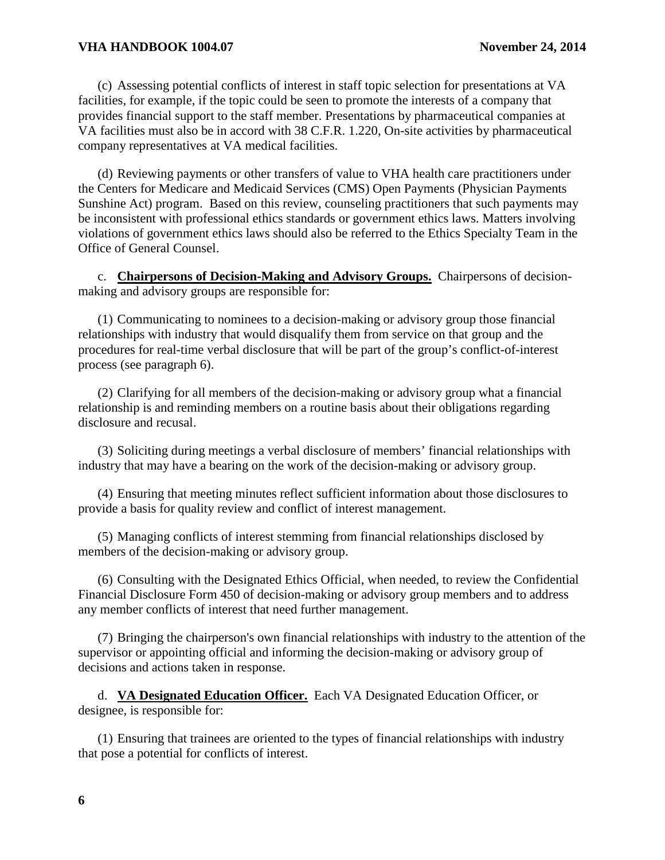#### **VHA HANDBOOK 1004.07 November 24, 2014**

(c) Assessing potential conflicts of interest in staff topic selection for presentations at VA facilities, for example, if the topic could be seen to promote the interests of a company that provides financial support to the staff member. Presentations by pharmaceutical companies at VA facilities must also be in accord with 38 C.F.R. 1.220, On-site activities by pharmaceutical company representatives at VA medical facilities.

(d) Reviewing payments or other transfers of value to VHA health care practitioners under the Centers for Medicare and Medicaid Services (CMS) Open Payments (Physician Payments Sunshine Act) program. Based on this review, counseling practitioners that such payments may be inconsistent with professional ethics standards or government ethics laws. Matters involving violations of government ethics laws should also be referred to the Ethics Specialty Team in the Office of General Counsel.

c. **Chairpersons of Decision-Making and Advisory Groups.** Chairpersons of decisionmaking and advisory groups are responsible for:

(1) Communicating to nominees to a decision-making or advisory group those financial relationships with industry that would disqualify them from service on that group and the procedures for real-time verbal disclosure that will be part of the group's conflict-of-interest process (see paragraph 6).

(2) Clarifying for all members of the decision-making or advisory group what a financial relationship is and reminding members on a routine basis about their obligations regarding disclosure and recusal.

(3) Soliciting during meetings a verbal disclosure of members' financial relationships with industry that may have a bearing on the work of the decision-making or advisory group.

(4) Ensuring that meeting minutes reflect sufficient information about those disclosures to provide a basis for quality review and conflict of interest management.

(5) Managing conflicts of interest stemming from financial relationships disclosed by members of the decision-making or advisory group.

(6) Consulting with the Designated Ethics Official, when needed, to review the Confidential Financial Disclosure Form 450 of decision-making or advisory group members and to address any member conflicts of interest that need further management.

(7) Bringing the chairperson's own financial relationships with industry to the attention of the supervisor or appointing official and informing the decision-making or advisory group of decisions and actions taken in response.

d. **VA Designated Education Officer.** Each VA Designated Education Officer, or designee, is responsible for:

(1) Ensuring that trainees are oriented to the types of financial relationships with industry that pose a potential for conflicts of interest.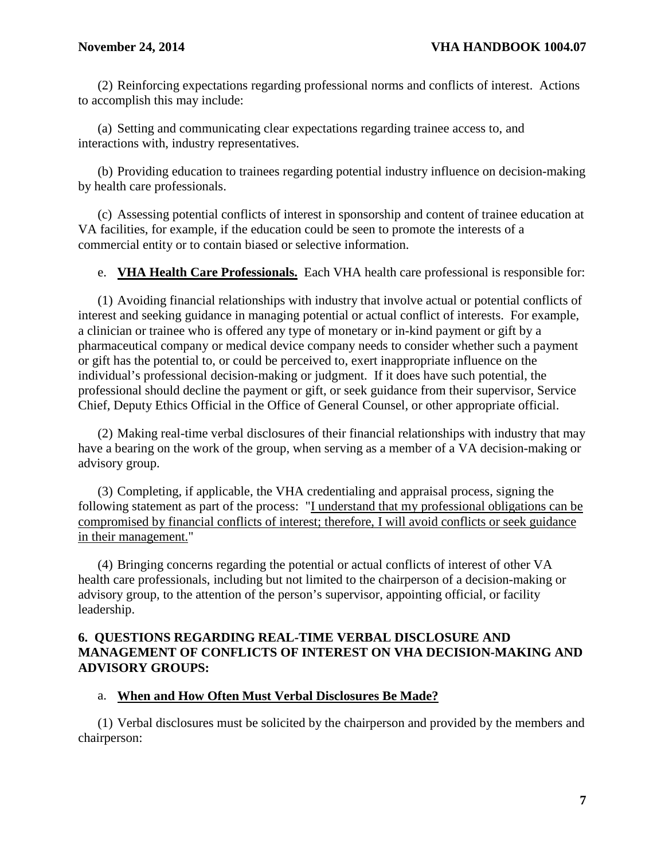(2) Reinforcing expectations regarding professional norms and conflicts of interest. Actions to accomplish this may include:

(a) Setting and communicating clear expectations regarding trainee access to, and interactions with, industry representatives.

(b) Providing education to trainees regarding potential industry influence on decision-making by health care professionals.

(c) Assessing potential conflicts of interest in sponsorship and content of trainee education at VA facilities, for example, if the education could be seen to promote the interests of a commercial entity or to contain biased or selective information.

e. **VHA Health Care Professionals.** Each VHA health care professional is responsible for:

(1) Avoiding financial relationships with industry that involve actual or potential conflicts of interest and seeking guidance in managing potential or actual conflict of interests. For example, a clinician or trainee who is offered any type of monetary or in-kind payment or gift by a pharmaceutical company or medical device company needs to consider whether such a payment or gift has the potential to, or could be perceived to, exert inappropriate influence on the individual's professional decision-making or judgment. If it does have such potential, the professional should decline the payment or gift, or seek guidance from their supervisor, Service Chief, Deputy Ethics Official in the Office of General Counsel, or other appropriate official.

(2) Making real-time verbal disclosures of their financial relationships with industry that may have a bearing on the work of the group, when serving as a member of a VA decision-making or advisory group.

(3) Completing, if applicable, the VHA credentialing and appraisal process, signing the following statement as part of the process: "I understand that my professional obligations can be compromised by financial conflicts of interest; therefore, I will avoid conflicts or seek guidance in their management."

(4) Bringing concerns regarding the potential or actual conflicts of interest of other VA health care professionals, including but not limited to the chairperson of a decision-making or advisory group, to the attention of the person's supervisor, appointing official, or facility leadership.

#### <span id="page-8-0"></span>**6. QUESTIONS REGARDING REAL-TIME VERBAL DISCLOSURE AND MANAGEMENT OF CONFLICTS OF INTEREST ON VHA DECISION-MAKING AND ADVISORY GROUPS:**

# a. **When and How Often Must Verbal Disclosures Be Made?**

(1) Verbal disclosures must be solicited by the chairperson and provided by the members and chairperson: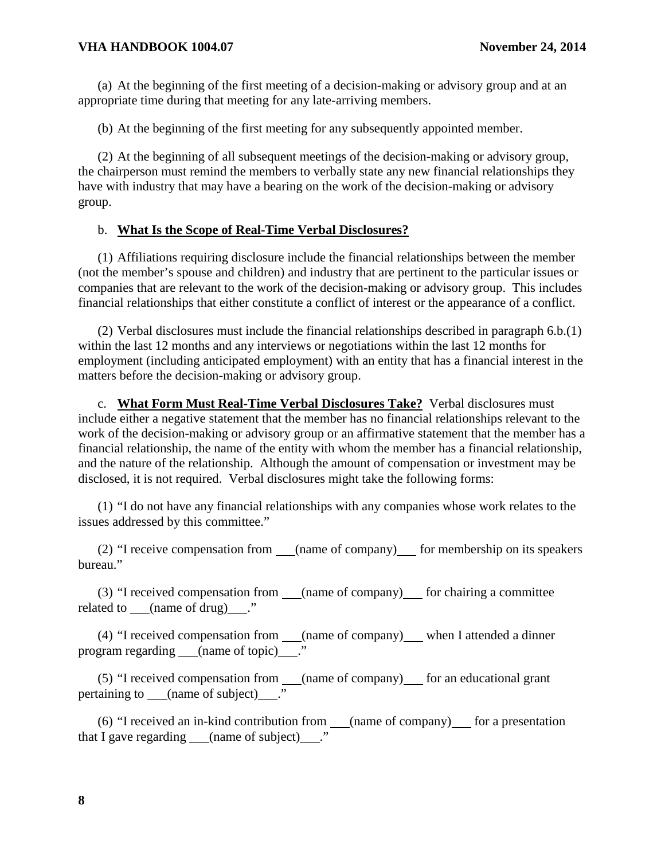(a) At the beginning of the first meeting of a decision-making or advisory group and at an appropriate time during that meeting for any late-arriving members.

(b) At the beginning of the first meeting for any subsequently appointed member.

(2) At the beginning of all subsequent meetings of the decision-making or advisory group, the chairperson must remind the members to verbally state any new financial relationships they have with industry that may have a bearing on the work of the decision-making or advisory group.

#### b. **What Is the Scope of Real-Time Verbal Disclosures?**

(1) Affiliations requiring disclosure include the financial relationships between the member (not the member's spouse and children) and industry that are pertinent to the particular issues or companies that are relevant to the work of the decision-making or advisory group. This includes financial relationships that either constitute a conflict of interest or the appearance of a conflict.

(2) Verbal disclosures must include the financial relationships described in paragraph 6.b.(1) within the last 12 months and any interviews or negotiations within the last 12 months for employment (including anticipated employment) with an entity that has a financial interest in the matters before the decision-making or advisory group.

c. **What Form Must Real-Time Verbal Disclosures Take?** Verbal disclosures must include either a negative statement that the member has no financial relationships relevant to the work of the decision-making or advisory group or an affirmative statement that the member has a financial relationship, the name of the entity with whom the member has a financial relationship, and the nature of the relationship. Although the amount of compensation or investment may be disclosed, it is not required. Verbal disclosures might take the following forms:

(1) "I do not have any financial relationships with any companies whose work relates to the issues addressed by this committee."

(2) "I receive compensation from  $\qquad$  (name of company) for membership on its speakers bureau."

(3) "I received compensation from (name of company) for chairing a committee related to (name of drug) ."

(4) "I received compensation from \_\_\_(name of company)\_\_\_ when I attended a dinner program regarding (name of topic)...."

(5) "I received compensation from  $\_\_\_\_\_\_\_\$  (name of company)  $\_\_\_\_\$ for an educational grant pertaining to (name of subject) ."

(6) "I received an in-kind contribution from  $\text{(\textit{name of company})}$  for a presentation that I gave regarding (name of subject) ."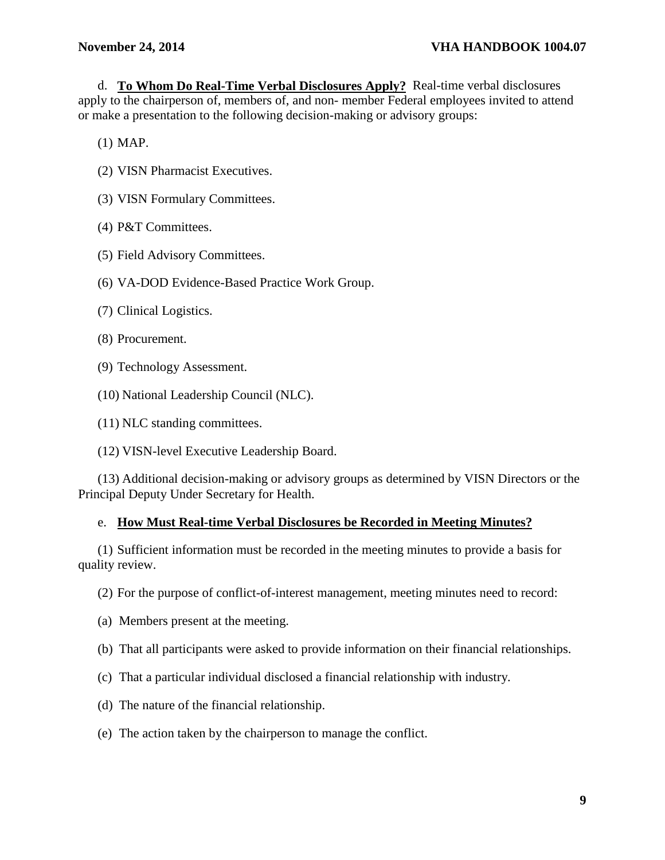d. **To Whom Do Real-Time Verbal Disclosures Apply?** Real-time verbal disclosures apply to the chairperson of, members of, and non- member Federal employees invited to attend or make a presentation to the following decision-making or advisory groups:

(1) MAP.

- (2) VISN Pharmacist Executives.
- (3) VISN Formulary Committees.
- (4) P&T Committees.
- (5) Field Advisory Committees.
- (6) VA-DOD Evidence-Based Practice Work Group.
- (7) Clinical Logistics.
- (8) Procurement.
- (9) Technology Assessment.
- (10) National Leadership Council (NLC).
- (11) NLC standing committees.
- (12) VISN-level Executive Leadership Board.

(13) Additional decision-making or advisory groups as determined by VISN Directors or the Principal Deputy Under Secretary for Health.

#### e. **How Must Real-time Verbal Disclosures be Recorded in Meeting Minutes?**

(1) Sufficient information must be recorded in the meeting minutes to provide a basis for quality review.

(2) For the purpose of conflict-of-interest management, meeting minutes need to record:

- (a) Members present at the meeting.
- (b) That all participants were asked to provide information on their financial relationships.
- (c) That a particular individual disclosed a financial relationship with industry.
- (d) The nature of the financial relationship.
- (e) The action taken by the chairperson to manage the conflict.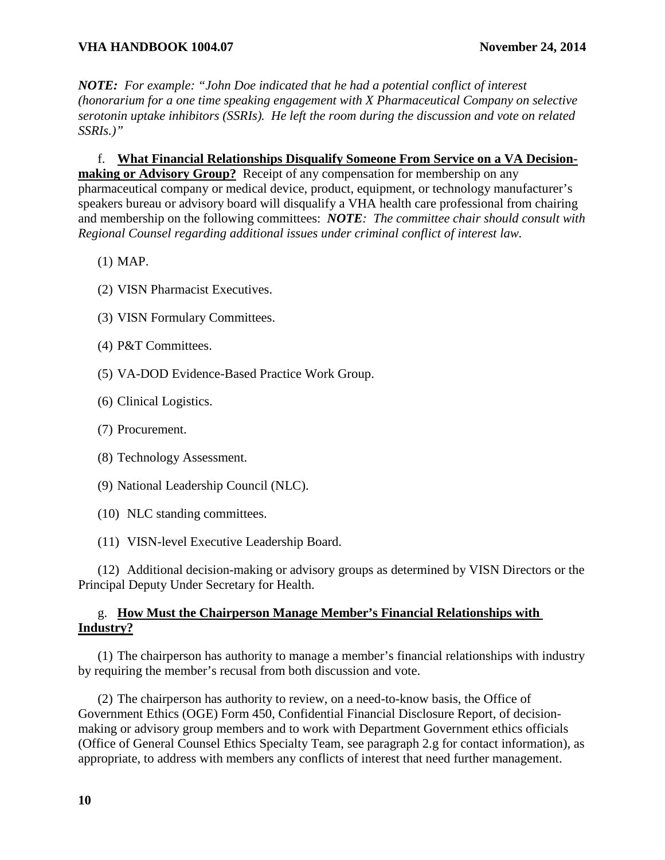*NOTE: For example: "John Doe indicated that he had a potential conflict of interest (honorarium for a one time speaking engagement with X Pharmaceutical Company on selective serotonin uptake inhibitors (SSRIs). He left the room during the discussion and vote on related SSRIs.)"*

f. **What Financial Relationships Disqualify Someone From Service on a VA Decisionmaking or Advisory Group?** Receipt of any compensation for membership on any pharmaceutical company or medical device, product, equipment, or technology manufacturer's speakers bureau or advisory board will disqualify a VHA health care professional from chairing and membership on the following committees: *NOTE: The committee chair should consult with Regional Counsel regarding additional issues under criminal conflict of interest law.*

- (1) MAP.
- (2) VISN Pharmacist Executives.
- (3) VISN Formulary Committees.
- (4) P&T Committees.
- (5) VA-DOD Evidence-Based Practice Work Group.
- (6) Clinical Logistics.
- (7) Procurement.
- (8) Technology Assessment.
- (9) National Leadership Council (NLC).
- (10) NLC standing committees.
- (11) VISN-level Executive Leadership Board.

(12) Additional decision-making or advisory groups as determined by VISN Directors or the Principal Deputy Under Secretary for Health.

# g. **How Must the Chairperson Manage Member's Financial Relationships with Industry?**

(1) The chairperson has authority to manage a member's financial relationships with industry by requiring the member's recusal from both discussion and vote.

(2) The chairperson has authority to review, on a need-to-know basis, the Office of Government Ethics (OGE) Form 450, Confidential Financial Disclosure Report, of decisionmaking or advisory group members and to work with Department Government ethics officials (Office of General Counsel Ethics Specialty Team, see paragraph 2.g for contact information), as appropriate, to address with members any conflicts of interest that need further management.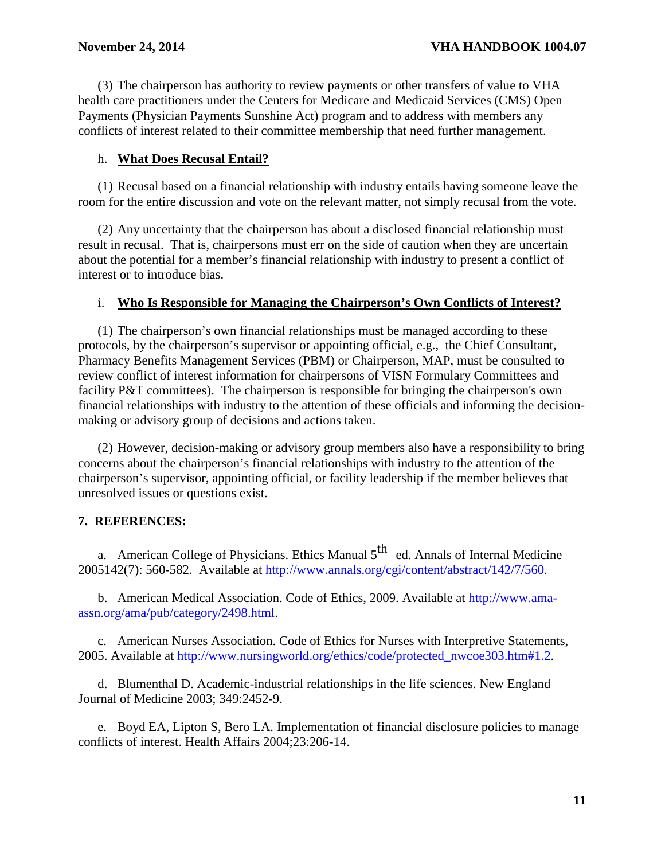(3) The chairperson has authority to review payments or other transfers of value to VHA health care practitioners under the Centers for Medicare and Medicaid Services (CMS) Open Payments (Physician Payments Sunshine Act) program and to address with members any conflicts of interest related to their committee membership that need further management.

#### h. **What Does Recusal Entail?**

(1) Recusal based on a financial relationship with industry entails having someone leave the room for the entire discussion and vote on the relevant matter, not simply recusal from the vote.

(2) Any uncertainty that the chairperson has about a disclosed financial relationship must result in recusal. That is, chairpersons must err on the side of caution when they are uncertain about the potential for a member's financial relationship with industry to present a conflict of interest or to introduce bias.

#### i. **Who Is Responsible for Managing the Chairperson's Own Conflicts of Interest?**

(1) The chairperson's own financial relationships must be managed according to these protocols, by the chairperson's supervisor or appointing official, e.g., the Chief Consultant, Pharmacy Benefits Management Services (PBM) or Chairperson, MAP, must be consulted to review conflict of interest information for chairpersons of VISN Formulary Committees and facility P&T committees). The chairperson is responsible for bringing the chairperson's own financial relationships with industry to the attention of these officials and informing the decisionmaking or advisory group of decisions and actions taken.

(2) However, decision-making or advisory group members also have a responsibility to bring concerns about the chairperson's financial relationships with industry to the attention of the chairperson's supervisor, appointing official, or facility leadership if the member believes that unresolved issues or questions exist.

# <span id="page-12-0"></span>**7. REFERENCES:**

a. American College of Physicians. Ethics Manual  $5<sup>th</sup>$  ed. Annals of Internal Medicine 2005142(7): 560-582. Available at [http://www.annals.org/cgi/content/abstract/142/7/560.](http://www.annals.org/cgi/content/abstract/142/7/560)

b. American Medical Association. Code of Ethics, 2009. Available at [http://www.ama](http://www.ama-assn.org/ama/pub/category/2498.html)[assn.org/ama/pub/category/2498.html.](http://www.ama-assn.org/ama/pub/category/2498.html)

c. American Nurses Association. Code of Ethics for Nurses with Interpretive Statements, 2005. Available at [http://www.nursingworld.org/ethics/code/protected\\_nwcoe303.htm#1.2.](http://www.nursingworld.org/ethics/code/protected_nwcoe303.htm#1.2)

d. Blumenthal D. Academic-industrial relationships in the life sciences. New England Journal of Medicine 2003; 349:2452-9.

e. Boyd EA, Lipton S, Bero LA. Implementation of financial disclosure policies to manage conflicts of interest. Health Affairs 2004;23:206-14.